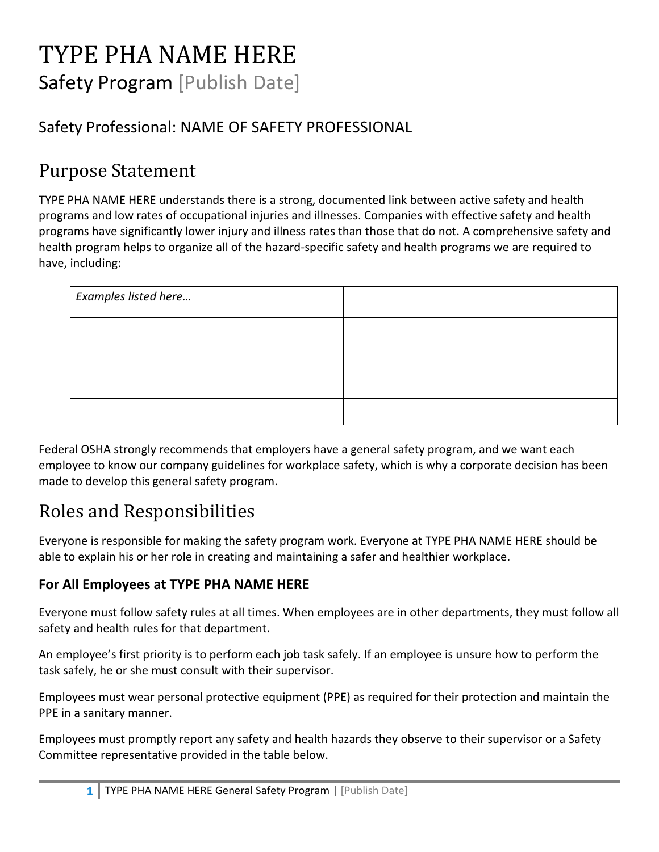# TYPE PHA NAME HERE Safety Program [Publish Date]

### Safety Professional: NAME OF SAFETY PROFESSIONAL

### Purpose Statement

TYPE PHA NAME HERE understands there is a strong, documented link between active safety and health programs and low rates of occupational injuries and illnesses. Companies with effective safety and health programs have significantly lower injury and illness rates than those that do not. A comprehensive safety and health program helps to organize all of the hazard-specific safety and health programs we are required to have, including:

| Examples listed here |  |
|----------------------|--|
|                      |  |
|                      |  |
|                      |  |
|                      |  |

Federal OSHA strongly recommends that employers have a general safety program, and we want each employee to know our company guidelines for workplace safety, which is why a corporate decision has been made to develop this general safety program.

## Roles and Responsibilities

Everyone is responsible for making the safety program work. Everyone at TYPE PHA NAME HERE should be able to explain his or her role in creating and maintaining a safer and healthier workplace.

#### **For All Employees at TYPE PHA NAME HERE**

Everyone must follow safety rules at all times. When employees are in other departments, they must follow all safety and health rules for that department.

An employee's first priority is to perform each job task safely. If an employee is unsure how to perform the task safely, he or she must consult with their supervisor.

Employees must wear personal protective equipment (PPE) as required for their protection and maintain the PPE in a sanitary manner.

Employees must promptly report any safety and health hazards they observe to their supervisor or a Safety Committee representative provided in the table below.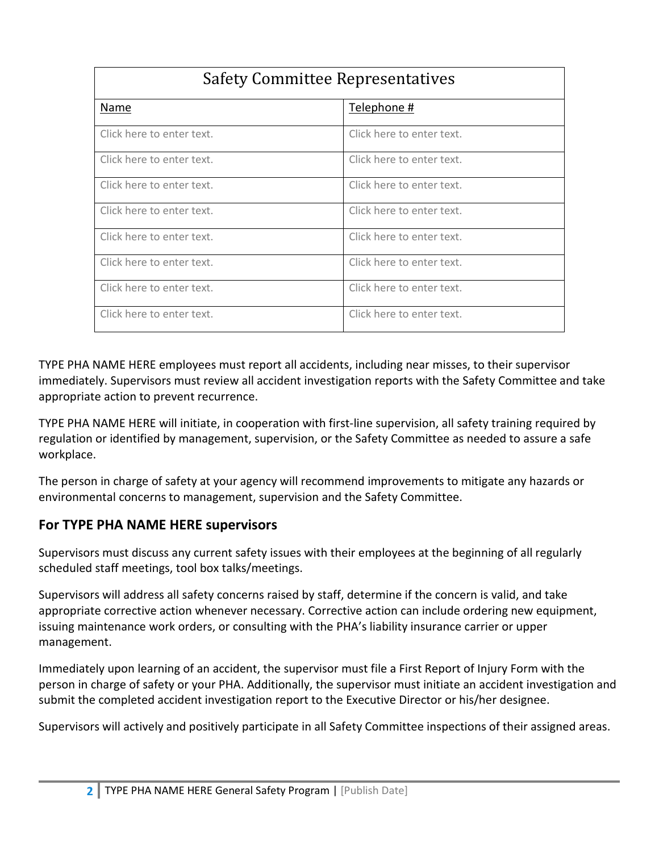| <b>Safety Committee Representatives</b> |                           |  |
|-----------------------------------------|---------------------------|--|
| Name                                    | Telephone #               |  |
| Click here to enter text.               | Click here to enter text. |  |
| Click here to enter text.               | Click here to enter text. |  |
| Click here to enter text.               | Click here to enter text. |  |
| Click here to enter text.               | Click here to enter text. |  |
| Click here to enter text.               | Click here to enter text. |  |
| Click here to enter text.               | Click here to enter text. |  |
| Click here to enter text.               | Click here to enter text. |  |
| Click here to enter text.               | Click here to enter text. |  |

TYPE PHA NAME HERE employees must report all accidents, including near misses, to their supervisor immediately. Supervisors must review all accident investigation reports with the Safety Committee and take appropriate action to prevent recurrence.

TYPE PHA NAME HERE will initiate, in cooperation with first-line supervision, all safety training required by regulation or identified by management, supervision, or the Safety Committee as needed to assure a safe workplace.

The person in charge of safety at your agency will recommend improvements to mitigate any hazards or environmental concerns to management, supervision and the Safety Committee.

#### **For TYPE PHA NAME HERE supervisors**

Supervisors must discuss any current safety issues with their employees at the beginning of all regularly scheduled staff meetings, tool box talks/meetings.

Supervisors will address all safety concerns raised by staff, determine if the concern is valid, and take appropriate corrective action whenever necessary. Corrective action can include ordering new equipment, issuing maintenance work orders, or consulting with the PHA's liability insurance carrier or upper management.

Immediately upon learning of an accident, the supervisor must file a First Report of Injury Form with the person in charge of safety or your PHA. Additionally, the supervisor must initiate an accident investigation and submit the completed accident investigation report to the Executive Director or his/her designee.

Supervisors will actively and positively participate in all Safety Committee inspections of their assigned areas.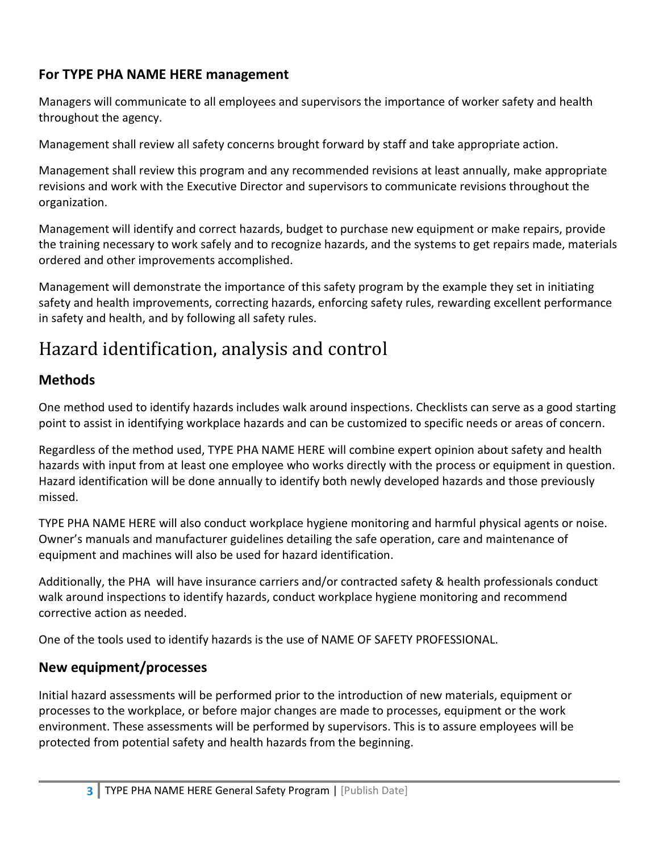#### **For TYPE PHA NAME HERE management**

Managers will communicate to all employees and supervisors the importance of worker safety and health throughout the agency.

Management shall review all safety concerns brought forward by staff and take appropriate action.

Management shall review this program and any recommended revisions at least annually, make appropriate revisions and work with the Executive Director and supervisors to communicate revisions throughout the organization.

Management will identify and correct hazards, budget to purchase new equipment or make repairs, provide the training necessary to work safely and to recognize hazards, and the systems to get repairs made, materials ordered and other improvements accomplished.

Management will demonstrate the importance of this safety program by the example they set in initiating safety and health improvements, correcting hazards, enforcing safety rules, rewarding excellent performance in safety and health, and by following all safety rules.

## Hazard identification, analysis and control

### **Methods**

One method used to identify hazards includes walk around inspections. Checklists can serve as a good starting point to assist in identifying workplace hazards and can be customized to specific needs or areas of concern.

Regardless of the method used, TYPE PHA NAME HERE will combine expert opinion about safety and health hazards with input from at least one employee who works directly with the process or equipment in question. Hazard identification will be done annually to identify both newly developed hazards and those previously missed.

TYPE PHA NAME HERE will also conduct workplace hygiene monitoring and harmful physical agents or noise. Owner's manuals and manufacturer guidelines detailing the safe operation, care and maintenance of equipment and machines will also be used for hazard identification.

Additionally, the PHA will have insurance carriers and/or contracted safety & health professionals conduct walk around inspections to identify hazards, conduct workplace hygiene monitoring and recommend corrective action as needed.

One of the tools used to identify hazards is the use of NAME OF SAFETY PROFESSIONAL.

#### **New equipment/processes**

Initial hazard assessments will be performed prior to the introduction of new materials, equipment or processes to the workplace, or before major changes are made to processes, equipment or the work environment. These assessments will be performed by supervisors. This is to assure employees will be protected from potential safety and health hazards from the beginning.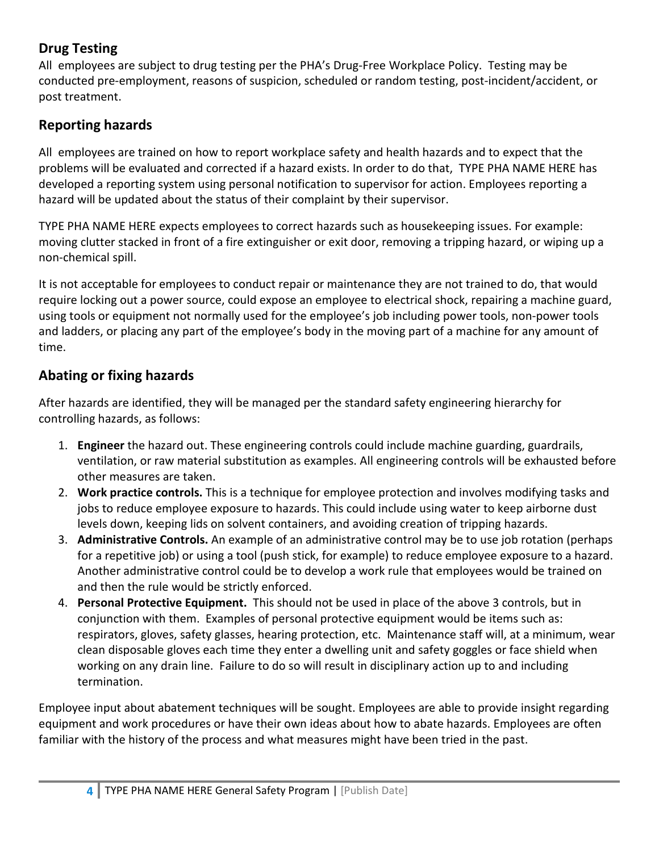#### **Drug Testing**

All employees are subject to drug testing per the PHA's Drug-Free Workplace Policy. Testing may be conducted pre-employment, reasons of suspicion, scheduled or random testing, post-incident/accident, or post treatment.

#### **Reporting hazards**

All employees are trained on how to report workplace safety and health hazards and to expect that the problems will be evaluated and corrected if a hazard exists. In order to do that, TYPE PHA NAME HERE has developed a reporting system using personal notification to supervisor for action. Employees reporting a hazard will be updated about the status of their complaint by their supervisor.

TYPE PHA NAME HERE expects employees to correct hazards such as housekeeping issues. For example: moving clutter stacked in front of a fire extinguisher or exit door, removing a tripping hazard, or wiping up a non-chemical spill.

It is not acceptable for employees to conduct repair or maintenance they are not trained to do, that would require locking out a power source, could expose an employee to electrical shock, repairing a machine guard, using tools or equipment not normally used for the employee's job including power tools, non-power tools and ladders, or placing any part of the employee's body in the moving part of a machine for any amount of time.

#### **Abating or fixing hazards**

After hazards are identified, they will be managed per the standard safety engineering hierarchy for controlling hazards, as follows:

- 1. **Engineer** the hazard out. These engineering controls could include machine guarding, guardrails, ventilation, or raw material substitution as examples. All engineering controls will be exhausted before other measures are taken.
- 2. **Work practice controls.** This is a technique for employee protection and involves modifying tasks and jobs to reduce employee exposure to hazards. This could include using water to keep airborne dust levels down, keeping lids on solvent containers, and avoiding creation of tripping hazards.
- 3. **Administrative Controls.** An example of an administrative control may be to use job rotation (perhaps for a repetitive job) or using a tool (push stick, for example) to reduce employee exposure to a hazard. Another administrative control could be to develop a work rule that employees would be trained on and then the rule would be strictly enforced.
- 4. **Personal Protective Equipment.** This should not be used in place of the above 3 controls, but in conjunction with them. Examples of personal protective equipment would be items such as: respirators, gloves, safety glasses, hearing protection, etc. Maintenance staff will, at a minimum, wear clean disposable gloves each time they enter a dwelling unit and safety goggles or face shield when working on any drain line. Failure to do so will result in disciplinary action up to and including termination.

Employee input about abatement techniques will be sought. Employees are able to provide insight regarding equipment and work procedures or have their own ideas about how to abate hazards. Employees are often familiar with the history of the process and what measures might have been tried in the past.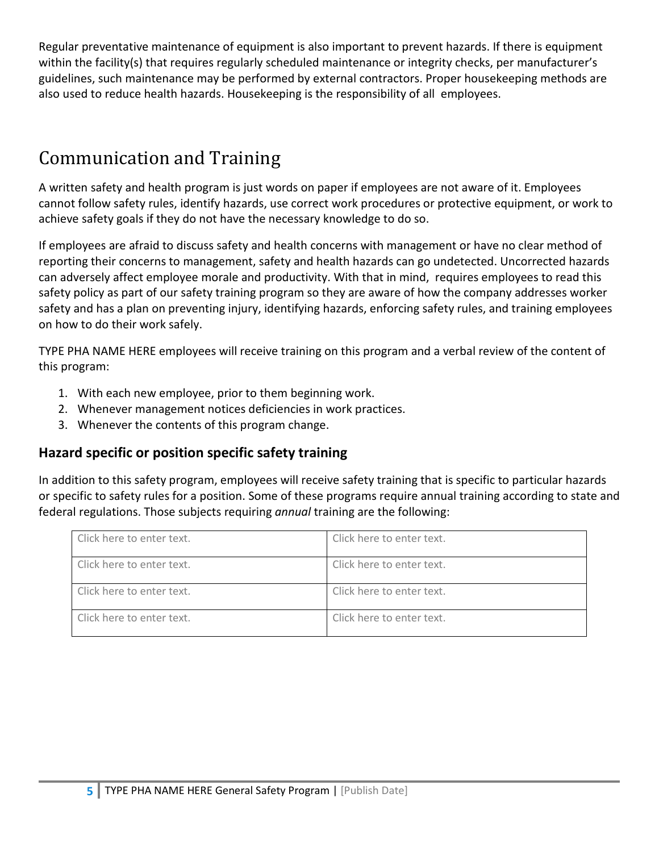Regular preventative maintenance of equipment is also important to prevent hazards. If there is equipment within the facility(s) that requires regularly scheduled maintenance or integrity checks, per manufacturer's guidelines, such maintenance may be performed by external contractors. Proper housekeeping methods are also used to reduce health hazards. Housekeeping is the responsibility of all employees.

## Communication and Training

A written safety and health program is just words on paper if employees are not aware of it. Employees cannot follow safety rules, identify hazards, use correct work procedures or protective equipment, or work to achieve safety goals if they do not have the necessary knowledge to do so.

If employees are afraid to discuss safety and health concerns with management or have no clear method of reporting their concerns to management, safety and health hazards can go undetected. Uncorrected hazards can adversely affect employee morale and productivity. With that in mind, requires employees to read this safety policy as part of our safety training program so they are aware of how the company addresses worker safety and has a plan on preventing injury, identifying hazards, enforcing safety rules, and training employees on how to do their work safely.

TYPE PHA NAME HERE employees will receive training on this program and a verbal review of the content of this program:

- 1. With each new employee, prior to them beginning work.
- 2. Whenever management notices deficiencies in work practices.
- 3. Whenever the contents of this program change.

#### **Hazard specific or position specific safety training**

In addition to this safety program, employees will receive safety training that is specific to particular hazards or specific to safety rules for a position. Some of these programs require annual training according to state and federal regulations. Those subjects requiring *annual* training are the following:

| Click here to enter text. | Click here to enter text. |
|---------------------------|---------------------------|
| Click here to enter text. | Click here to enter text. |
| Click here to enter text. | Click here to enter text. |
| Click here to enter text. | Click here to enter text. |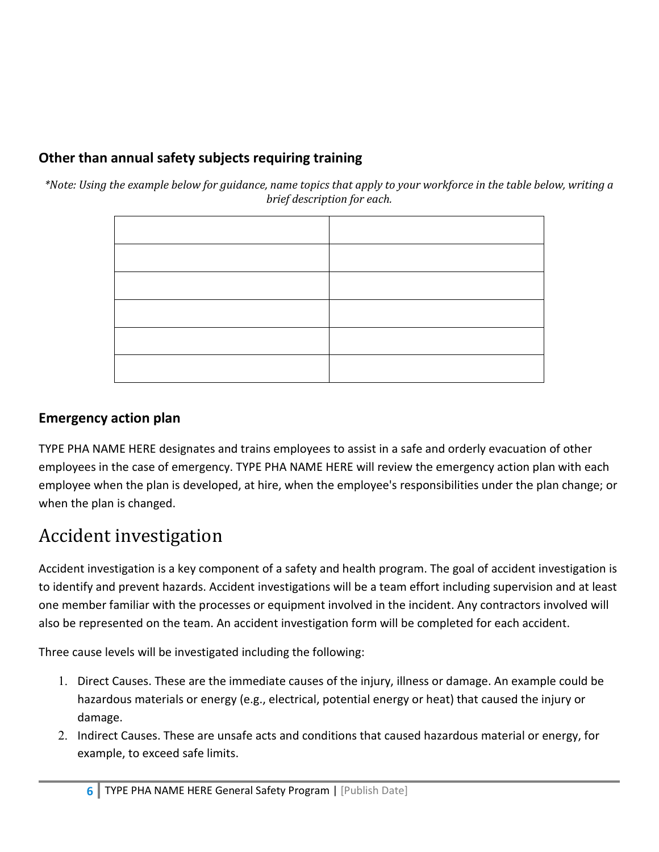### **Other than annual safety subjects requiring training**

*\*Note: Using the example below for guidance, name topics that apply to your workforce in the table below, writing a brief description for each.*

#### **Emergency action plan**

TYPE PHA NAME HERE designates and trains employees to assist in a safe and orderly evacuation of other employees in the case of emergency. TYPE PHA NAME HERE will review the emergency action plan with each employee when the plan is developed, at hire, when the employee's responsibilities under the plan change; or when the plan is changed.

## Accident investigation

Accident investigation is a key component of a safety and health program. The goal of accident investigation is to identify and prevent hazards. Accident investigations will be a team effort including supervision and at least one member familiar with the processes or equipment involved in the incident. Any contractors involved will also be represented on the team. An accident investigation form will be completed for each accident.

Three cause levels will be investigated including the following:

- 1. Direct Causes. These are the immediate causes of the injury, illness or damage. An example could be hazardous materials or energy (e.g., electrical, potential energy or heat) that caused the injury or damage.
- 2. Indirect Causes. These are unsafe acts and conditions that caused hazardous material or energy, for example, to exceed safe limits.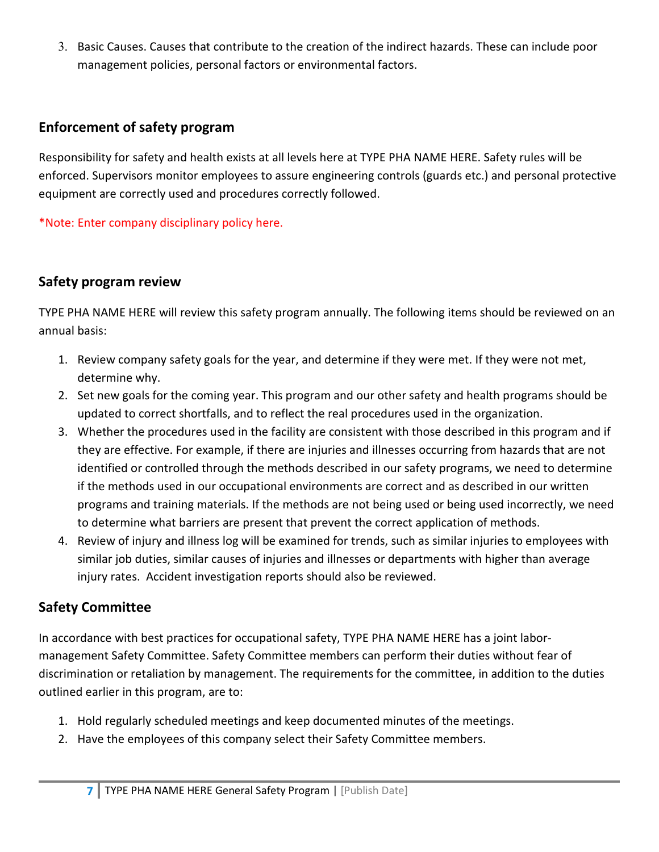3. Basic Causes. Causes that contribute to the creation of the indirect hazards. These can include poor management policies, personal factors or environmental factors.

#### **Enforcement of safety program**

Responsibility for safety and health exists at all levels here at TYPE PHA NAME HERE. Safety rules will be enforced. Supervisors monitor employees to assure engineering controls (guards etc.) and personal protective equipment are correctly used and procedures correctly followed.

\*Note: Enter company disciplinary policy here.

#### **Safety program review**

TYPE PHA NAME HERE will review this safety program annually. The following items should be reviewed on an annual basis:

- 1. Review company safety goals for the year, and determine if they were met. If they were not met, determine why.
- 2. Set new goals for the coming year. This program and our other safety and health programs should be updated to correct shortfalls, and to reflect the real procedures used in the organization.
- 3. Whether the procedures used in the facility are consistent with those described in this program and if they are effective. For example, if there are injuries and illnesses occurring from hazards that are not identified or controlled through the methods described in our safety programs, we need to determine if the methods used in our occupational environments are correct and as described in our written programs and training materials. If the methods are not being used or being used incorrectly, we need to determine what barriers are present that prevent the correct application of methods.
- 4. Review of injury and illness log will be examined for trends, such as similar injuries to employees with similar job duties, similar causes of injuries and illnesses or departments with higher than average injury rates. Accident investigation reports should also be reviewed.

#### **Safety Committee**

In accordance with best practices for occupational safety, TYPE PHA NAME HERE has a joint labormanagement Safety Committee. Safety Committee members can perform their duties without fear of discrimination or retaliation by management. The requirements for the committee, in addition to the duties outlined earlier in this program, are to:

- 1. Hold regularly scheduled meetings and keep documented minutes of the meetings.
- 2. Have the employees of this company select their Safety Committee members.